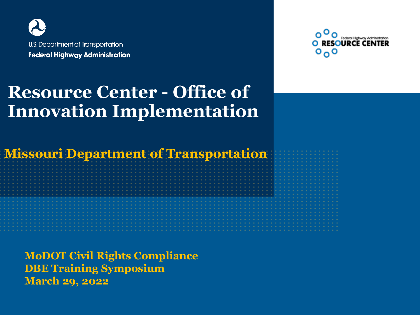

#### **Resource Center - Office of Innovation Implementation**

**Missouri Department of Transportation** 

**MoDOT Civil Rights Compliance DBE Training Symposium March 29, 2022**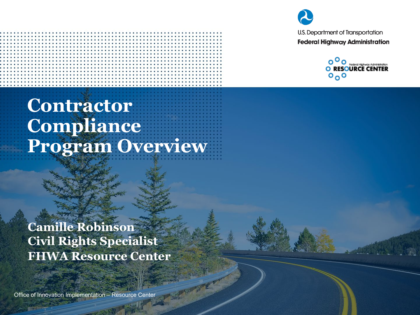



## **Contractor Compliance Program Overview**

**Camille Robinson Civil Rights Specialist FHWA Resource Center**

Office of Innovation Implementation – Resource Center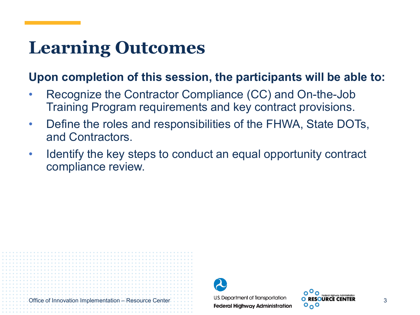## **Learning Outcomes**

#### **Upon completion of this session, the participants will be able to:**

- Recognize the Contractor Compliance (CC) and On-the-Job Training Program requirements and key contract provisions.
- Define the roles and responsibilities of the FHWA, State DOTs, and Contractors.
- Identify the key steps to conduct an equal opportunity contract compliance review.



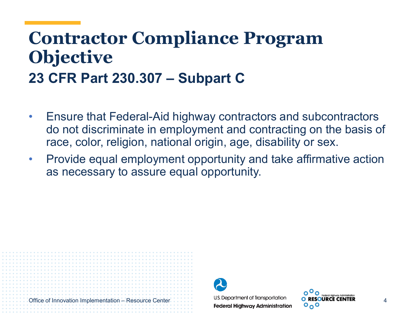#### **Contractor Compliance Program Objective 23 CFR Part 230.307 – Subpart C**

- Ensure that Federal-Aid highway contractors and subcontractors do not discriminate in employment and contracting on the basis of race, color, religion, national origin, age, disability or sex.
- Provide equal employment opportunity and take affirmative action as necessary to assure equal opportunity.



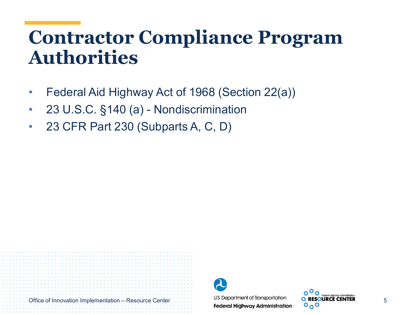## **Contractor Compliance Program Authorities**

- Federal Aid Highway Act of 1968 (Section 22(a))
- 23 U.S.C. §140 (a) Nondiscrimination
- 23 CFR Part 230 (Subparts A, C, D)



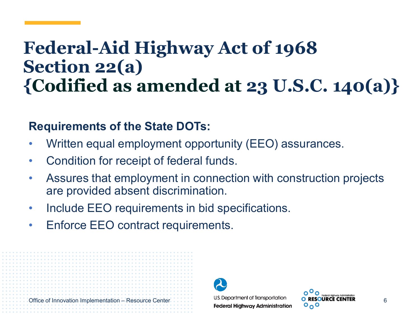## **Federal-Aid Highway Act of 1968 Section 22(a) {Codified as amended at 23 U.S.C. 140(a)}**

#### **Requirements of the State DOTs:**

- Written equal employment opportunity (EEO) assurances.
- Condition for receipt of federal funds.
- Assures that employment in connection with construction projects are provided absent discrimination.
- Include EEO requirements in bid specifications.
- Enforce EEO contract requirements.



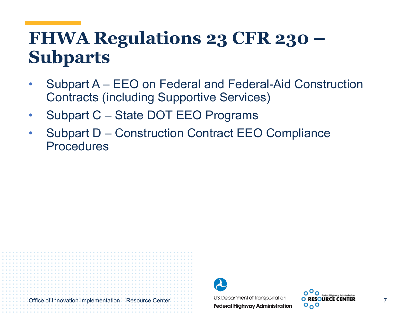## **FHWA Regulations 23 CFR 230 – Subparts**

- Subpart A EEO on Federal and Federal-Aid Construction Contracts (including Supportive Services)
- Subpart C State DOT EEO Programs
- Subpart D Construction Contract EEO Compliance **Procedures**



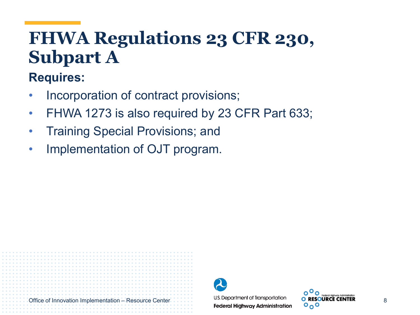## **FHWA Regulations 23 CFR 230, Subpart A**

#### **Requires:**

- Incorporation of contract provisions;
- FHWA 1273 is also required by 23 CFR Part 633;
- Training Special Provisions; and
- Implementation of OJT program.



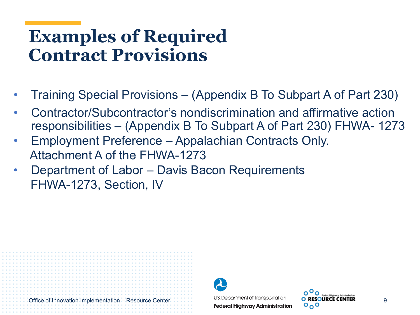## **Examples of Required Contract Provisions**

- Training Special Provisions (Appendix B To Subpart A of Part 230)
- Contractor/Subcontractor's nondiscrimination and affirmative action responsibilities – (Appendix B To Subpart A of Part 230) FHWA- 1273
- Employment Preference Appalachian Contracts Only. Attachment A of the FHWA-1273
- Department of Labor Davis Bacon Requirements FHWA-1273, Section, IV



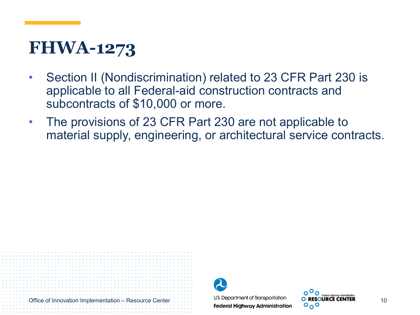## **FHWA-1273**

- Section II (Nondiscrimination) related to 23 CFR Part 230 is applicable to all Federal-aid construction contracts and subcontracts of \$10,000 or more.
- The provisions of 23 CFR Part 230 are not applicable to material supply, engineering, or architectural service contracts.



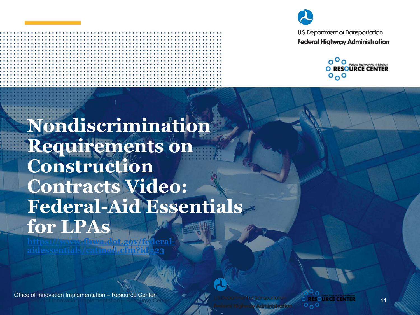



**Nondiscrimination Requirements on Construction Contracts Video: Federal-Aid Essentials for LPAs**

Office of Innovation Implementation – Resource Center

**Office of Innovation Implementation – Resource Center** 

**[https://www.fhwa.dot.gov/federal](https://www.fhwa.dot.gov/federal-aidessentials/catmod.cfm?id=23)aidessentials/catmod.cfm?id=23**

11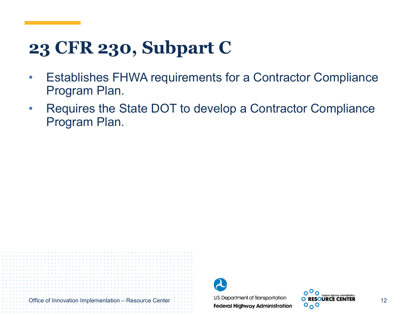## **23 CFR 230, Subpart C**

- Establishes FHWA requirements for a Contractor Compliance Program Plan.
- Requires the State DOT to develop a Contractor Compliance Program Plan.



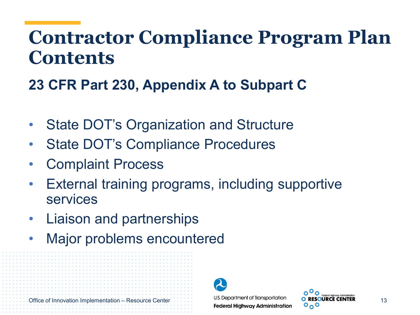## **Contractor Compliance Program Plan Contents**

#### **23 CFR Part 230, Appendix A to Subpart C**

- State DOT's Organization and Structure
- State DOT's Compliance Procedures
- Complaint Process
- External training programs, including supportive services
- Liaison and partnerships
- Major problems encountered





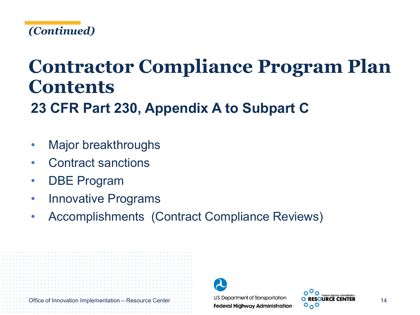

# **Contractor Compliance Program Plan Contents**

**23 CFR Part 230, Appendix A to Subpart C**

- Major breakthroughs
- Contract sanctions
- **DBE Program**
- Innovative Programs
- Accomplishments (Contract Compliance Reviews)



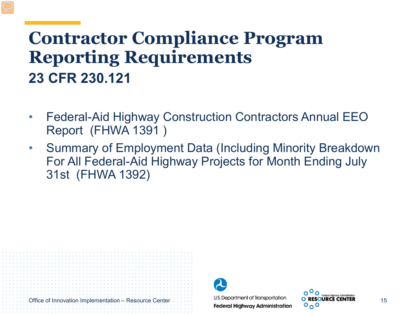### **Contractor Compliance Program Reporting Requirements 23 CFR 230.121**

- Federal-Aid Highway Construction Contractors Annual EEO Report (FHWA 1391 )
- Summary of Employment Data (Including Minority Breakdown For All Federal-Aid Highway Projects for Month Ending July 31st (FHWA 1392)



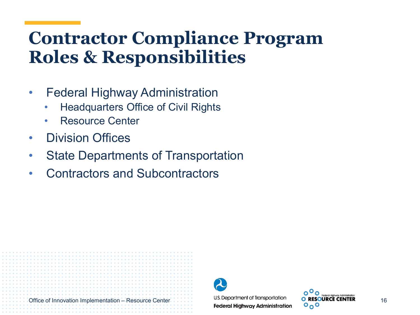## **Contractor Compliance Program Roles & Responsibilities**

- Federal Highway Administration
	- Headquarters Office of Civil Rights
	- **Resource Center**
- Division Offices
- **State Departments of Transportation**
- Contractors and Subcontractors



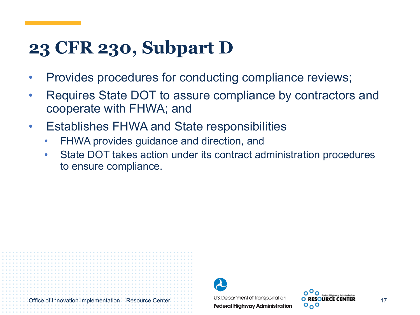## **23 CFR 230, Subpart D**

- Provides procedures for conducting compliance reviews;
- Requires State DOT to assure compliance by contractors and cooperate with FHWA; and
- Establishes FHWA and State responsibilities
	- FHWA provides guidance and direction, and
	- State DOT takes action under its contract administration procedures to ensure compliance.



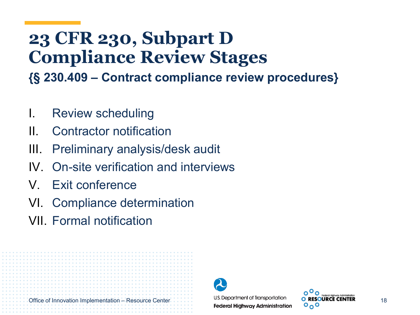## **23 CFR 230, Subpart D Compliance Review Stages**

**{§ 230.409 – Contract compliance review procedures}**

- I. Review scheduling
- II. Contractor notification
- III. Preliminary analysis/desk audit
- IV. On-site verification and interviews
- V. Exit conference
- VI. Compliance determination
- VII. Formal notification



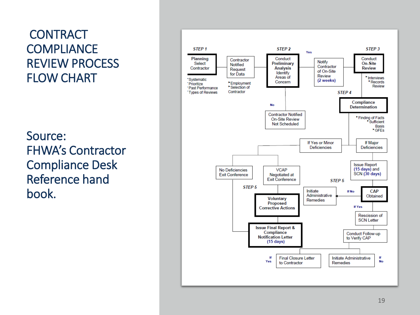#### **CONTRACT COMPLIANCE** REVIEW PROCESS FLOW CHART

Source: FHWA's Contractor Compliance Desk Reference hand book.

Office of Innovation Implementation – Resource Center

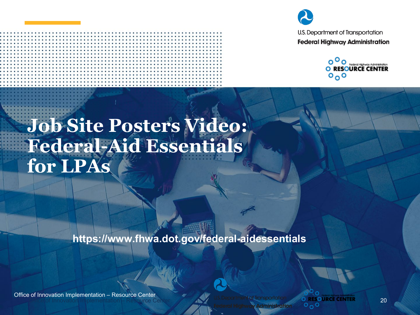



## **Job Site Posters Video: Federal-Aid Essentials for LPAs**

**https://www.fhwa.dot.gov/federal-aidessentials**

**Office of Innovation Implementation – Resource Center** Office of Innovation Implementation – Resource Center

**DIRESOURCE CENTER**  $0<sub>0</sub>$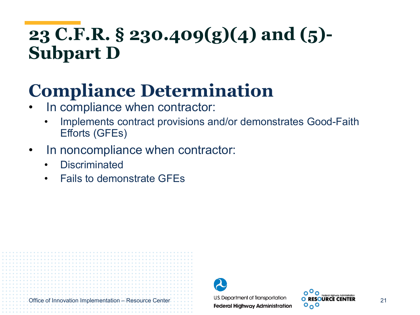## **23 C.F.R. § 230.409(g)(4) and (5)- Subpart D**

## **Compliance Determination**

- In compliance when contractor:
	- Implements contract provisions and/or demonstrates Good-Faith Efforts (GFEs)
- In noncompliance when contractor:
	- **Discriminated**
	- Fails to demonstrate GFEs



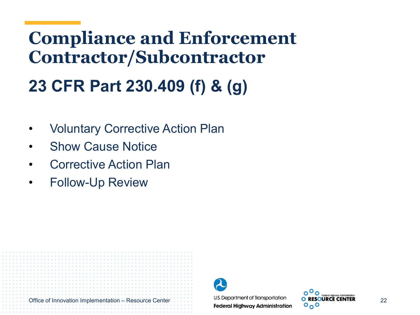## **Compliance and Enforcement Contractor/Subcontractor 23 CFR Part 230.409 (f) & (g)**

- Voluntary Corrective Action Plan
- Show Cause Notice
- Corrective Action Plan
- Follow-Up Review



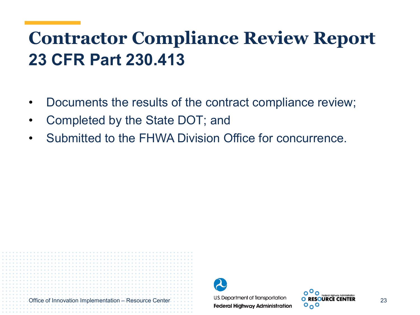## **Contractor Compliance Review Report 23 CFR Part 230.413**

- Documents the results of the contract compliance review;
- Completed by the State DOT; and
- Submitted to the FHWA Division Office for concurrence.



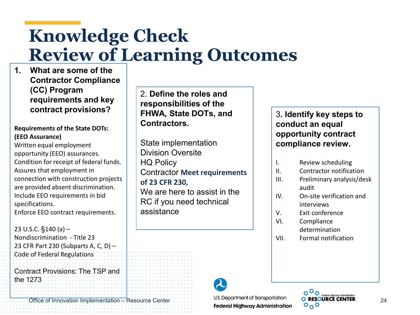## **Knowledge Check Review of Learning Outcomes**

**1. What are some of the Contractor Compliance (CC) Program requirements and key contract provisions?**

#### **Requirements of the State DOTs: (EEO Assurance)**

Written equal employment opportunity (EEO) assurances. Condition for receipt of federal funds. Assures that employment in connection with construction projects are provided absent discrimination. Include EEO requirements in bid specifications. Enforce EEO contract requirements.

23 U.S.C. §140 (a) – Nondiscrimination - Title 23 23 CFR Part 230 (Subparts A, C, D) – Code of Federal Regulations

Contract Provisions: The TSP and the 1273

Office of Innovation Implementation – Resource Center U.S. Department of Transportation<br> **Federal Highway Administration** C<sub>O</sub>O

2. **Define the roles and responsibilities of the FHWA, State DOTs, and Contractors.**

State implementation Division Oversite HQ Policy Contractor **Meet requirements of 23 CFR 230,**  We are here to assist in the RC if you need technical assistance

3**. Identify key steps to conduct an equal opportunity contract compliance review.**

- I. Review scheduling
- II. Contractor notification
- III. Preliminary analysis/desk audit
- IV. On-site verification and interviews
- V. Exit conference
- VI. Compliance determination
- VII. Formal notification